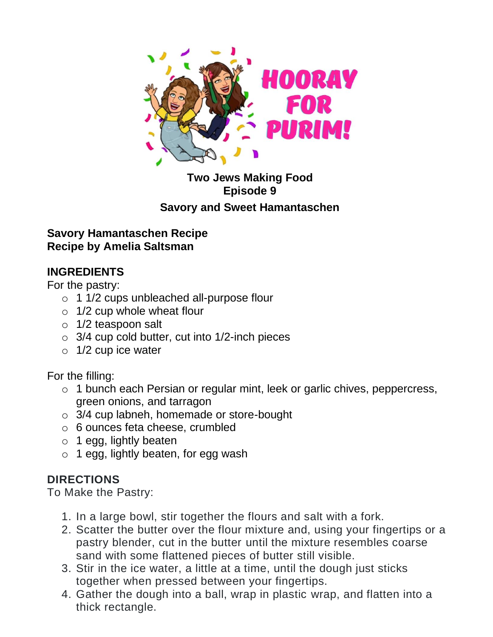

## **Two Jews Making Food Episode 9 Savory and Sweet Hamantaschen**

### **Savory Hamantaschen Recipe Recipe by Amelia Saltsman**

# **INGREDIENTS**

For the pastry:

- o 1 1/2 cups unbleached all-purpose flour
- o 1/2 cup whole wheat flour
- o 1/2 teaspoon salt
- $\circ$  3/4 cup cold butter, cut into 1/2-inch pieces
- $\circ$  1/2 cup ice water

For the filling:

- o 1 bunch each Persian or regular mint, leek or garlic chives, peppercress, green onions, and tarragon
- o 3/4 cup labneh, homemade or store-bought
- o 6 ounces feta cheese, crumbled
- $\circ$  1 egg, lightly beaten
- o 1 egg, lightly beaten, for egg wash

# **DIRECTIONS**

To Make the Pastry:

- 1. In a large bowl, stir together the flours and salt with a fork.
- 2. Scatter the butter over the flour mixture and, using your fingertips or a pastry blender, cut in the butter until the mixture resembles coarse sand with some flattened pieces of butter still visible.
- 3. Stir in the ice water, a little at a time, until the dough just sticks together when pressed between your fingertips.
- 4. Gather the dough into a ball, wrap in plastic wrap, and flatten into a thick rectangle.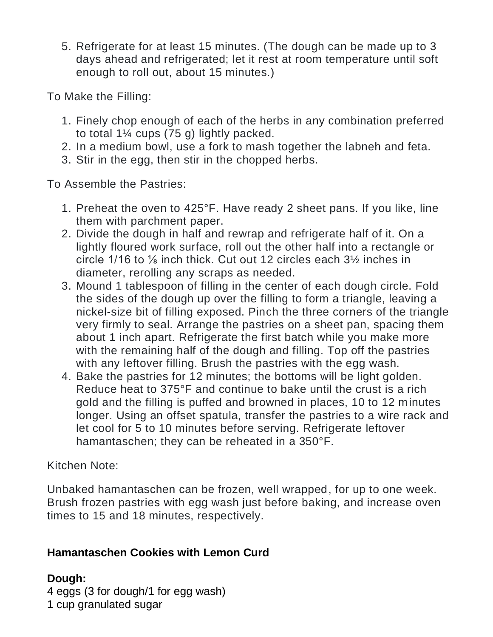5. Refrigerate for at least 15 minutes. (The dough can be made up to 3 days ahead and refrigerated; let it rest at room temperature until soft enough to roll out, about 15 minutes.)

To Make the Filling:

- 1. Finely chop enough of each of the herbs in any combination preferred to total 1¼ cups (75 g) lightly packed.
- 2. In a medium bowl, use a fork to mash together the labneh and feta.
- 3. Stir in the egg, then stir in the chopped herbs.

To Assemble the Pastries:

- 1. Preheat the oven to 425°F. Have ready 2 sheet pans. If you like, line them with parchment paper.
- 2. Divide the dough in half and rewrap and refrigerate half of it. On a lightly floured work surface, roll out the other half into a rectangle or circle 1/16 to ⅛ inch thick. Cut out 12 circles each 3½ inches in diameter, rerolling any scraps as needed.
- 3. Mound 1 tablespoon of filling in the center of each dough circle. Fold the sides of the dough up over the filling to form a triangle, leaving a nickel-size bit of filling exposed. Pinch the three corners of the triangle very firmly to seal. Arrange the pastries on a sheet pan, spacing them about 1 inch apart. Refrigerate the first batch while you make more with the remaining half of the dough and filling. Top off the pastries with any leftover filling. Brush the pastries with the egg wash.
- 4. Bake the pastries for 12 minutes; the bottoms will be light golden. Reduce heat to 375°F and continue to bake until the crust is a rich gold and the filling is puffed and browned in places, 10 to 12 minutes longer. Using an offset spatula, transfer the pastries to a wire rack and let cool for 5 to 10 minutes before serving. Refrigerate leftover hamantaschen; they can be reheated in a 350°F.

# Kitchen Note:

Unbaked hamantaschen can be frozen, well wrapped, for up to one week. Brush frozen pastries with egg wash just before baking, and increase oven times to 15 and 18 minutes, respectively.

# **Hamantaschen Cookies with Lemon Curd**

# **Dough:**

4 eggs (3 for dough/1 for egg wash) 1 cup granulated sugar